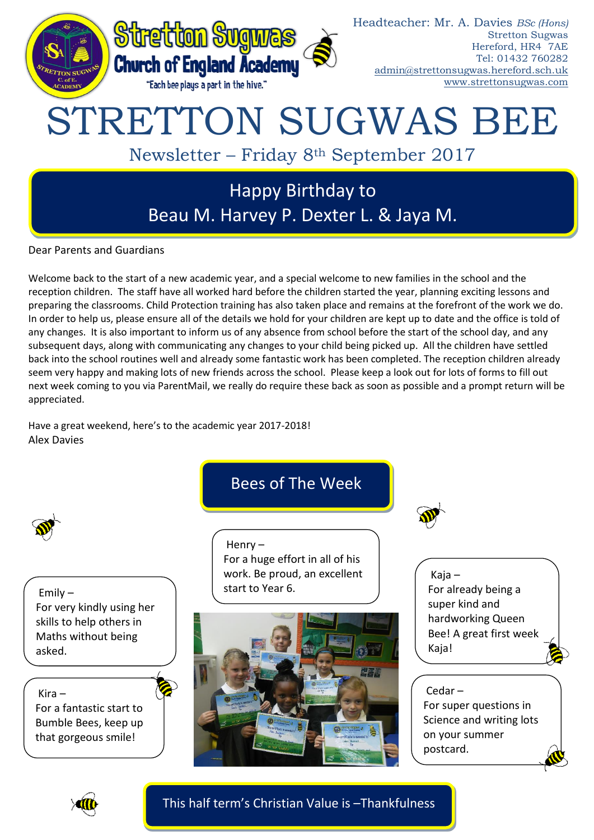

Dear Parents and Guardians

Welcome back to the start of a new academic year, and a special welcome to new families in the school and the reception children. The staff have all worked hard before the children started the year, planning exciting lessons and preparing the classrooms. Child Protection training has also taken place and remains at the forefront of the work we do. In order to help us, please ensure all of the details we hold for your children are kept up to date and the office is told of any changes. It is also important to inform us of any absence from school before the start of the school day, and any subsequent days, along with communicating any changes to your child being picked up. All the children have settled back into the school routines well and already some fantastic work has been completed. The reception children already seem very happy and making lots of new friends across the school. Please keep a look out for lots of forms to fill out next week coming to you via ParentMail, we really do require these back as soon as possible and a prompt return will be appreciated.

Have a great weekend, here's to the academic year 2017-2018! Alex Davies





This half term's Christian Value is –Thankfulness